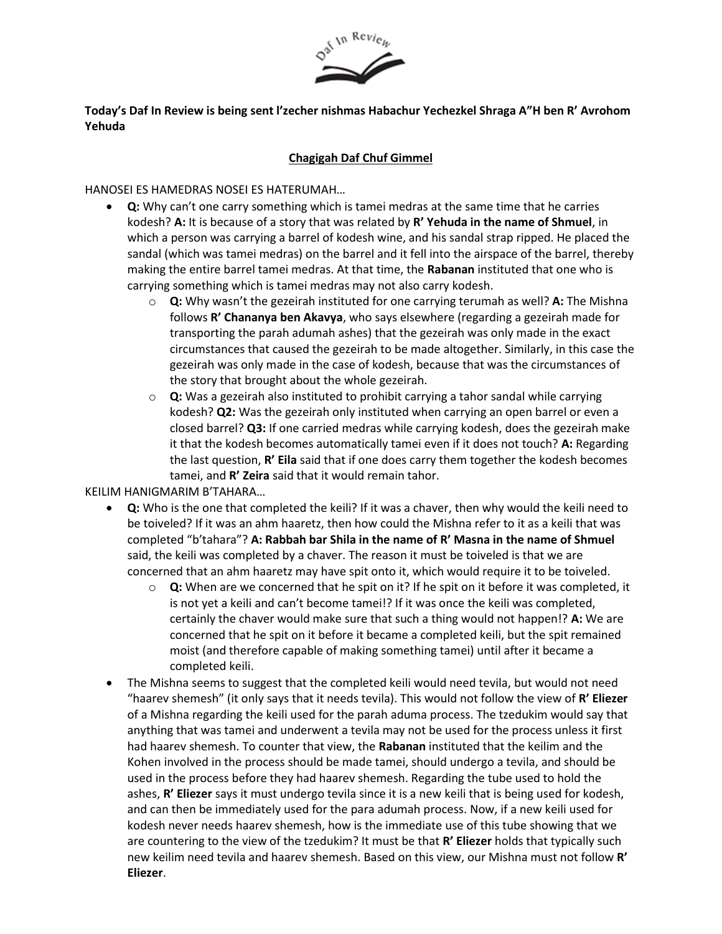

## **Today's Daf In Review is being sent l'zecher nishmas Habachur Yechezkel Shraga A"H ben R' Avrohom Yehuda**

## **Chagigah Daf Chuf Gimmel**

HANOSEI ES HAMEDRAS NOSEI ES HATERUMAH…

- **Q:** Why can't one carry something which is tamei medras at the same time that he carries kodesh? **A:** It is because of a story that was related by **R' Yehuda in the name of Shmuel**, in which a person was carrying a barrel of kodesh wine, and his sandal strap ripped. He placed the sandal (which was tamei medras) on the barrel and it fell into the airspace of the barrel, thereby making the entire barrel tamei medras. At that time, the **Rabanan** instituted that one who is carrying something which is tamei medras may not also carry kodesh.
	- o **Q:** Why wasn't the gezeirah instituted for one carrying terumah as well? **A:** The Mishna follows **R' Chananya ben Akavya**, who says elsewhere (regarding a gezeirah made for transporting the parah adumah ashes) that the gezeirah was only made in the exact circumstances that caused the gezeirah to be made altogether. Similarly, in this case the gezeirah was only made in the case of kodesh, because that was the circumstances of the story that brought about the whole gezeirah.
	- o **Q:** Was a gezeirah also instituted to prohibit carrying a tahor sandal while carrying kodesh? **Q2:** Was the gezeirah only instituted when carrying an open barrel or even a closed barrel? **Q3:** If one carried medras while carrying kodesh, does the gezeirah make it that the kodesh becomes automatically tamei even if it does not touch? **A:** Regarding the last question, **R' Eila** said that if one does carry them together the kodesh becomes tamei, and **R' Zeira** said that it would remain tahor.

KEILIM HANIGMARIM B'TAHARA…

- **Q:** Who is the one that completed the keili? If it was a chaver, then why would the keili need to be toiveled? If it was an ahm haaretz, then how could the Mishna refer to it as a keili that was completed "b'tahara"? **A: Rabbah bar Shila in the name of R' Masna in the name of Shmuel** said, the keili was completed by a chaver. The reason it must be toiveled is that we are concerned that an ahm haaretz may have spit onto it, which would require it to be toiveled.
	- o **Q:** When are we concerned that he spit on it? If he spit on it before it was completed, it is not yet a keili and can't become tamei!? If it was once the keili was completed, certainly the chaver would make sure that such a thing would not happen!? **A:** We are concerned that he spit on it before it became a completed keili, but the spit remained moist (and therefore capable of making something tamei) until after it became a completed keili.
- The Mishna seems to suggest that the completed keili would need tevila, but would not need "haarev shemesh" (it only says that it needs tevila). This would not follow the view of **R' Eliezer**  of a Mishna regarding the keili used for the parah aduma process. The tzedukim would say that anything that was tamei and underwent a tevila may not be used for the process unless it first had haarev shemesh. To counter that view, the **Rabanan** instituted that the keilim and the Kohen involved in the process should be made tamei, should undergo a tevila, and should be used in the process before they had haarev shemesh. Regarding the tube used to hold the ashes, **R' Eliezer** says it must undergo tevila since it is a new keili that is being used for kodesh, and can then be immediately used for the para adumah process. Now, if a new keili used for kodesh never needs haarev shemesh, how is the immediate use of this tube showing that we are countering to the view of the tzedukim? It must be that **R' Eliezer** holds that typically such new keilim need tevila and haarev shemesh. Based on this view, our Mishna must not follow **R' Eliezer**.